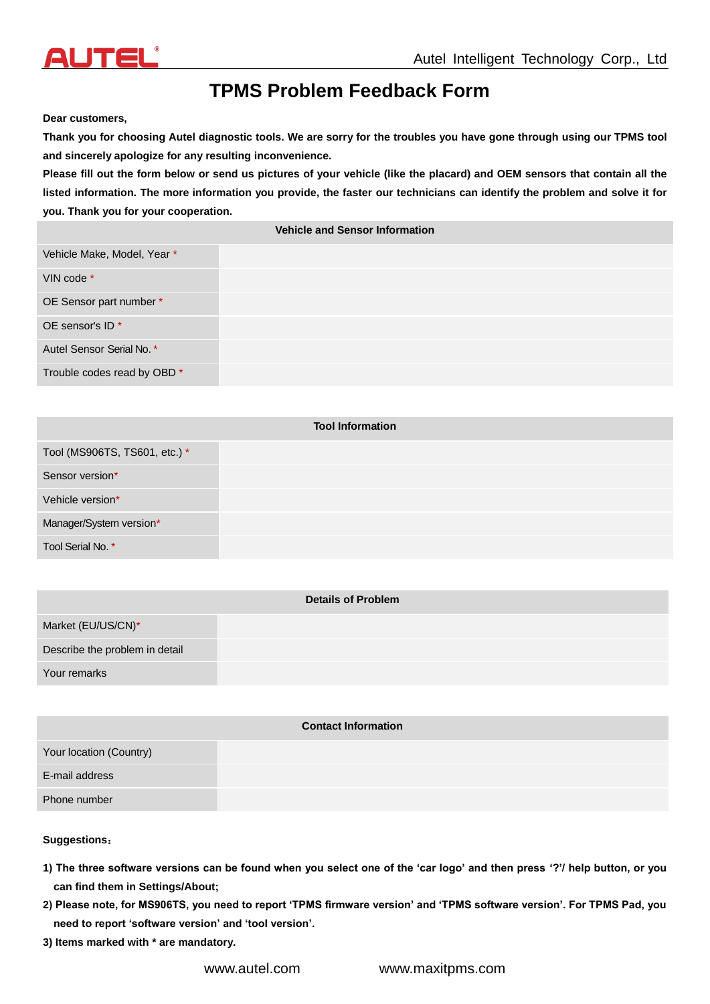

## **TPMS Problem Feedback Form**

**Dear customers,**

**Thank you for choosing Autel diagnostic tools. We are sorry for the troubles you have gone through using our TPMS tool and sincerely apologize for any resulting inconvenience.**

**Please fill out the form below or send us pictures of your vehicle (like the placard) and OEM sensors that contain all the listed information. The more information you provide, the faster our technicians can identify the problem and solve it for you. Thank you for your cooperation.**

**Vehicle and Sensor Information**

| Vehicle Make, Model, Year * |  |
|-----------------------------|--|
| VIN code *                  |  |
| OE Sensor part number *     |  |
| OE sensor's ID <sup>*</sup> |  |
| Autel Sensor Serial No. *   |  |
| Trouble codes read by OBD * |  |

| <b>Tool Information</b>       |  |  |
|-------------------------------|--|--|
| Tool (MS906TS, TS601, etc.) * |  |  |
| Sensor version*               |  |  |
| Vehicle version*              |  |  |
| Manager/System version*       |  |  |
| Tool Serial No. *             |  |  |

|                                | <b>Details of Problem</b> |  |
|--------------------------------|---------------------------|--|
| Market (EU/US/CN)*             |                           |  |
| Describe the problem in detail |                           |  |
| Your remarks                   |                           |  |
|                                |                           |  |

| <b>Contact Information</b> |  |  |
|----------------------------|--|--|
| Your location (Country)    |  |  |
| E-mail address             |  |  |
| Phone number               |  |  |

## **Suggestions**:

- **1) The three software versions can be found when you select one of the 'car logo' and then press '?'/ help button, or you can find them in Settings/About;**
- **2) Please note, for MS906TS, you need to report 'TPMS firmware version' and 'TPMS software version'. For TPMS Pad, you need to report 'software version' and 'tool version'.**
- **3) Items marked with \* are mandatory.**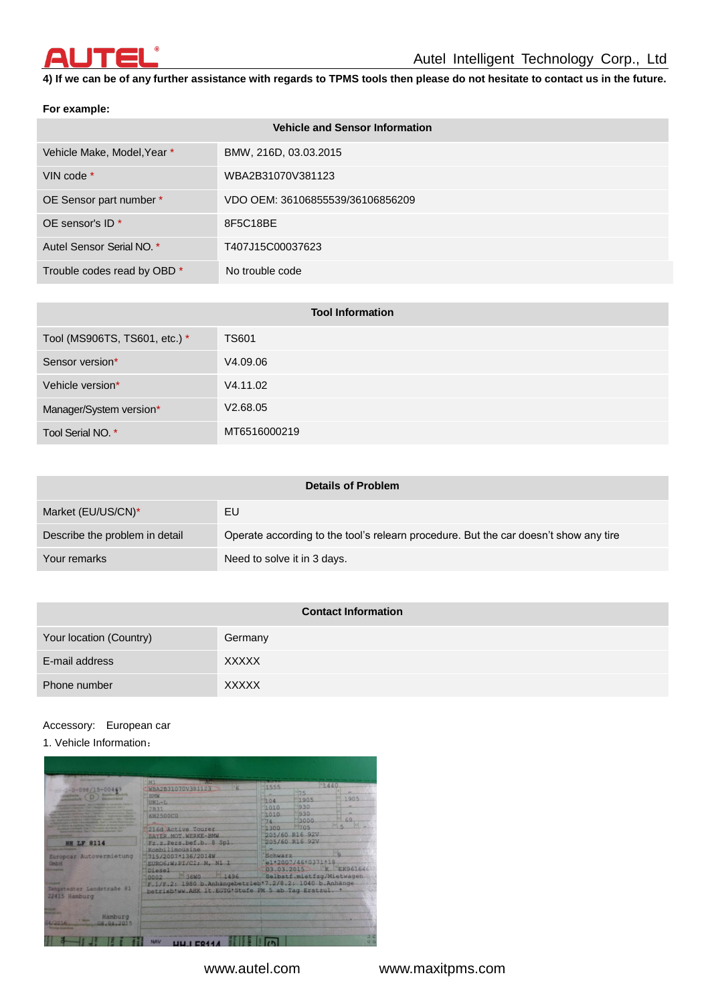

**4) If we can be of any further assistance with regards to TPMS tools then please do not hesitate to contact us in the future.** 

## **For example:**

| <b>Vehicle and Sensor Information</b> |                                  |  |
|---------------------------------------|----------------------------------|--|
| Vehicle Make, Model, Year *           | BMW, 216D, 03.03.2015            |  |
| VIN code $*$                          | WBA2B31070V381123                |  |
| OE Sensor part number *               | VDO OEM: 36106855539/36106856209 |  |
| OE sensor's $ID^*$                    | 8F5C18BE                         |  |
| Autel Sensor Serial NO. *             | T407J15C00037623                 |  |
| Trouble codes read by OBD *           | No trouble code                  |  |

| <b>Tool Information</b>       |              |  |
|-------------------------------|--------------|--|
| Tool (MS906TS, TS601, etc.) * | <b>TS601</b> |  |
| Sensor version*               | V4.09.06     |  |
| Vehicle version*              | V4.11.02     |  |
| Manager/System version*       | V2.68.05     |  |
| Tool Serial NO. *             | MT6516000219 |  |

|                                | <b>Details of Problem</b>                                                            |  |
|--------------------------------|--------------------------------------------------------------------------------------|--|
| Market (EU/US/CN)*             | EU                                                                                   |  |
| Describe the problem in detail | Operate according to the tool's relearn procedure. But the car doesn't show any tire |  |
| Your remarks                   | Need to solve it in 3 days.                                                          |  |
|                                |                                                                                      |  |

| <b>Contact Information</b> |              |  |
|----------------------------|--------------|--|
| Your location (Country)    | Germany      |  |
| E-mail address             | <b>XXXXX</b> |  |
| Phone number               | <b>XXXXX</b> |  |

## Accessory: European car

1. Vehicle Information:

| <b><i><u>ALL ATENTS AND RESIDENTS</u></i></b>                                                                                   | M1                                                                                                                                                                                                                       | 180440                                          |                                                                                |                                                    |  |
|---------------------------------------------------------------------------------------------------------------------------------|--------------------------------------------------------------------------------------------------------------------------------------------------------------------------------------------------------------------------|-------------------------------------------------|--------------------------------------------------------------------------------|----------------------------------------------------|--|
| $0 - 098/15 - 0044$<br><b>Constitution of the Constitution of the Constitution of the American Section</b><br><b>HH LF 8114</b> | ĸ<br>WBA2B31070V381123<br><b>BMW</b><br>UKL-L<br>2B31<br>6H2500CO<br>216d Active Tourer<br>BAYER.MOT.WERKE-BMW<br>Fz.z.Pers.bef.b. 8 Spl.                                                                                | 1555<br>10104<br>1010<br>1010<br>$\P74$<br>1300 | 175<br>1905<br>930<br>930<br>43000<br>1705<br>205/60 R16 92V<br>205/60 R16 92V | 1905<br>69                                         |  |
| Europcar Autovermietung<br>GmbH<br>Tangstedter Landstraße 81<br>22415 Hamburg                                                   | Kombilimousine<br>715/2007-136/2014W<br>EURO6:W:PI/CI; M, N1 I<br>Diesel<br><b>26WO</b><br>1496<br>0002<br>F.1/F.2: 1980 b.Anhangebetrieb*7.2/8.2: 1040 b.Anhänge<br>betrieb*ww.AHK 1t.EGTG*Stufe PM 5 ab Tag Erstzul. * | Schwarz                                         | e1*2007/46*0371*18                                                             | 03.03.2015 K EK961646<br>Selbstf.mietfzg/Mietwagen |  |
| Hamburg<br>1201<br>08.04.2015                                                                                                   |                                                                                                                                                                                                                          |                                                 |                                                                                | ⊐ಇ                                                 |  |